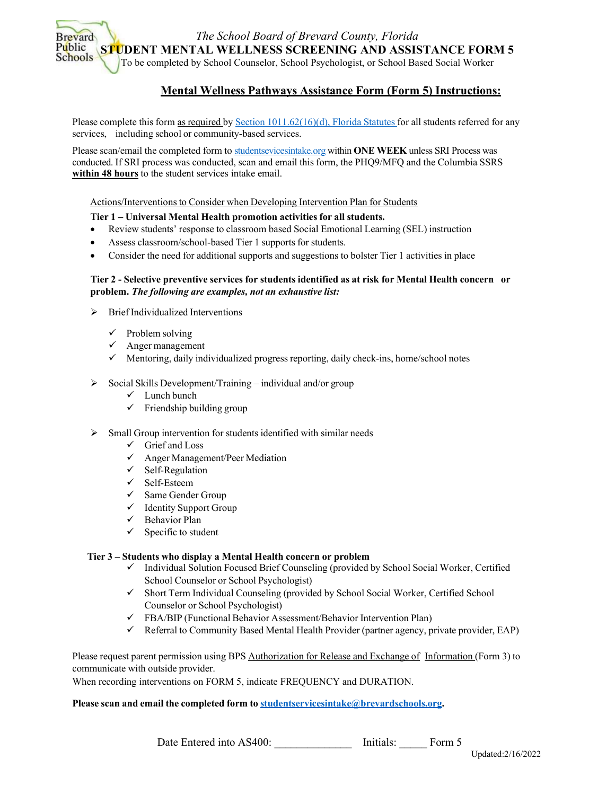*The School Board of Brevard County, Florida*

**STUDENT MENTAL WELLNESS SCREENING AND ASSISTANCE FORM 5**

To be completed by School Counselor, School Psychologist, or School Based Social Worker

# **Mental Wellness Pathways Assistance Form (Form 5) Instructions:**

Please complete this form as required by Section 1011.62(16)(d), Florida Statutes for all students referred for any services, including school or community-based services.

Please scan/email the completed form to [studentsevicesintake.org](mailto:Studentservicesintake%20%3cStudentservicesintake@Brevardschools.org%3e) within **ONE WEEK** unless SRI Process was conducted. If SRI process was conducted, scan and email this form, the PHQ9/MFQ and the Columbia SSRS **within 48 hours** to the student services intake email.

Actions/Interventions to Consider when Developing Intervention Plan for Students

# **Tier 1 – Universal Mental Health promotion activities for all students.**

- Review students' response to classroom based Social Emotional Learning (SEL) instruction
- Assess classroom/school-based Tier 1 supports for students.
- Consider the need for additional supports and suggestions to bolster Tier 1 activities in place

## **Tier 2 - Selective preventive services for students identified as at risk for Mental Health concern or problem.** *The following are examples, not an exhaustive list:*

- $\triangleright$  Brief Individualized Interventions
	- $\checkmark$  Problem solving

**Brevard** Public **Schools** 

- $\checkmark$  Anger management
- $\checkmark$  Mentoring, daily individualized progress reporting, daily check-ins, home/school notes
- $\triangleright$  Social Skills Development/Training individual and/or group
	- Lunch bunch
	- $\checkmark$  Friendship building group
- $\triangleright$  Small Group intervention for students identified with similar needs
	- $\checkmark$  Grief and Loss
	- Anger Management/Peer Mediation
	- $\checkmark$  Self-Regulation
	- $\checkmark$  Self-Esteem
	- $\checkmark$  Same Gender Group
	- $\checkmark$  Identity Support Group
	- $\checkmark$  Behavior Plan
	- $\checkmark$  Specific to student

### **Tier 3 – Students who display a Mental Health concern or problem**

- $\checkmark$  Individual Solution Focused Brief Counseling (provided by School Social Worker, Certified School Counselor or School Psychologist)
- $\checkmark$  Short Term Individual Counseling (provided by School Social Worker, Certified School Counselor or School Psychologist)
- FBA/BIP (Functional Behavior Assessment/Behavior Intervention Plan)
- $\checkmark$  Referral to Community Based Mental Health Provider (partner agency, private provider, EAP)

Please request parent permission using BPS Authorization for Release and Exchange of Information (Form 3) to communicate with outside provider.

When recording interventions on FORM 5, indicate FREQUENCY and DURATION.

### **Please scan and email the completed form to [studentservicesintake@brevardschools.org.](mailto:studentservicesintake@brevardschools.org)**

Date Entered into AS400: **Initials:** Form 5